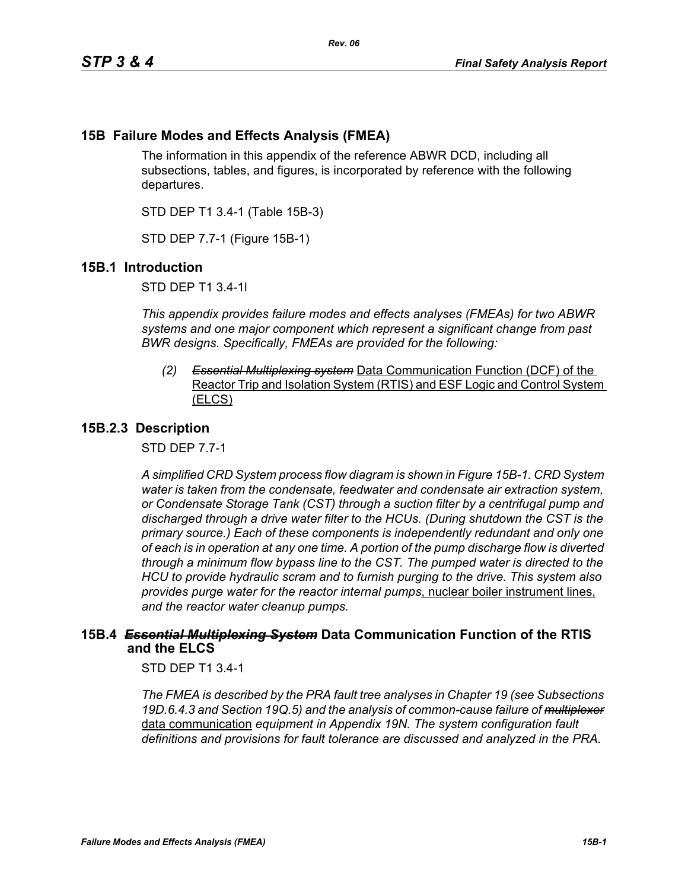# **15B Failure Modes and Effects Analysis (FMEA)**

The information in this appendix of the reference ABWR DCD, including all subsections, tables, and figures, is incorporated by reference with the following departures.

*Rev. 06*

STD DEP T1 3.4-1 (Table 15B-3)

STD DEP 7.7-1 (Figure 15B-1)

## **15B.1 Introduction**

STD DEP T1 3.4-1l

*This appendix provides failure modes and effects analyses (FMEAs) for two ABWR systems and one major component which represent a significant change from past BWR designs. Specifically, FMEAs are provided for the following:*

*(2) Essential Multiplexing system* Data Communication Function (DCF) of the Reactor Trip and Isolation System (RTIS) and ESF Logic and Control System (ELCS)

### **15B.2.3 Description**

STD DEP 7.7-1

*A simplified CRD System process flow diagram is shown in Figure [15B-1.](#page-2-0) CRD System water is taken from the condensate, feedwater and condensate air extraction system, or Condensate Storage Tank (CST) through a suction filter by a centrifugal pump and discharged through a drive water filter to the HCUs. (During shutdown the CST is the primary source.) Each of these components is independently redundant and only one of each is in operation at any one time. A portion of the pump discharge flow is diverted through a minimum flow bypass line to the CST. The pumped water is directed to the HCU to provide hydraulic scram and to furnish purging to the drive. This system also provides purge water for the reactor internal pumps*, nuclear boiler instrument lines, *and the reactor water cleanup pumps.*

## **15B.4** *Essential Multiplexing System* **Data Communication Function of the RTIS and the ELCS**

STD DEP T1 3.4-1

*The FMEA is described by the PRA fault tree analyses in Chapter 19 (see Subsections 19D.6.4.3 and Section 19Q.5) and the analysis of common-cause failure of multiplexer* data communication *equipment in Appendix 19N. The system configuration fault definitions and provisions for fault tolerance are discussed and analyzed in the PRA.*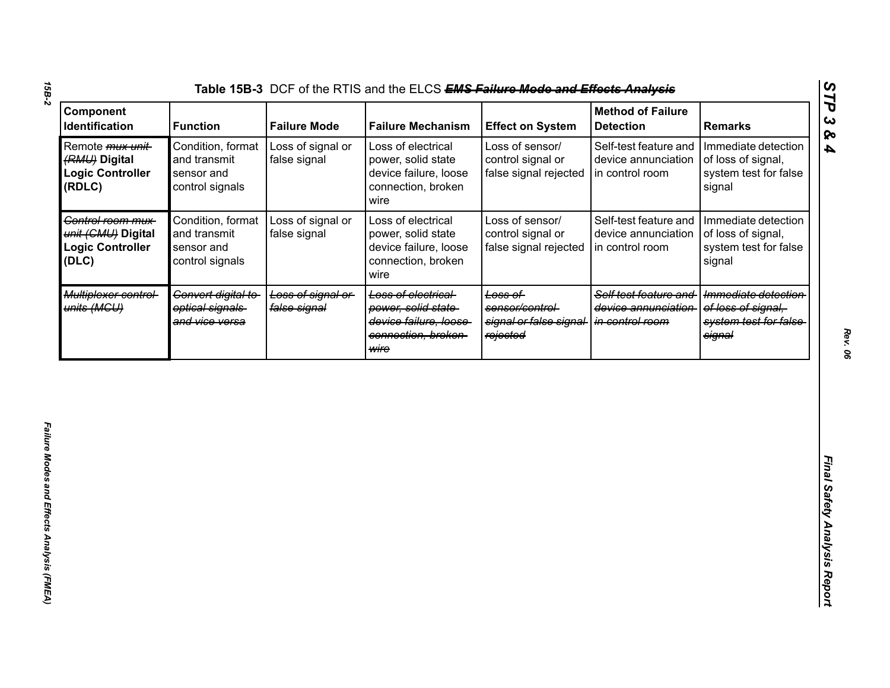| Component<br><b>Identification</b>                                             | <b>Function</b>                                                    | <b>Failure Mode</b>               | <b>Failure Mechanism</b>                                                                         | <b>Effect on System</b>                                           | <b>Method of Failure</b><br><b>Detection</b>                    | <b>Remarks</b>                                                                |
|--------------------------------------------------------------------------------|--------------------------------------------------------------------|-----------------------------------|--------------------------------------------------------------------------------------------------|-------------------------------------------------------------------|-----------------------------------------------------------------|-------------------------------------------------------------------------------|
| Remote <i>mux unit</i> -<br>(RMU) Digital<br><b>Logic Controller</b><br>(RDLC) | Condition, format<br>and transmit<br>sensor and<br>control signals | Loss of signal or<br>false signal | Loss of electrical<br>power, solid state<br>device failure, loose<br>connection, broken<br>wire  | Loss of sensor/<br>control signal or<br>false signal rejected     | Self-test feature and<br>device annunciation<br>in control room | Immediate detection<br>of loss of signal,<br>system test for false<br>signal  |
| Control room mux-<br>unit (CMU) Digital<br><b>Logic Controller</b><br>(DLC)    | Condition, format<br>and transmit<br>sensor and<br>control signals | Loss of signal or<br>false signal | Loss of electrical<br>power, solid state<br>device failure, loose<br>connection, broken<br>wire  | Loss of sensor/<br>control signal or<br>false signal rejected     | Self-test feature and<br>device annunciation<br>in control room | Immediate detection<br>of loss of signal,<br>system test for false<br>signal  |
| Multiplexer control-<br>units (MGU)                                            | Convert digital to-<br>optical signals<br>and vice versa           | Loss of signal or<br>false signal | Loss of electrical<br>power, solid state<br>device failure, loose<br>connection, broken-<br>wire | Loss of<br>sensor/control-<br>signal or false signal-<br>rejected | Self test feature and<br>device annunciation<br>in control room | Immediate detection<br>of loss of signal.<br>system test for false-<br>signal |
|                                                                                |                                                                    |                                   |                                                                                                  |                                                                   |                                                                 |                                                                               |
|                                                                                |                                                                    |                                   |                                                                                                  |                                                                   |                                                                 |                                                                               |
|                                                                                |                                                                    |                                   |                                                                                                  |                                                                   |                                                                 |                                                                               |

*15B-2*